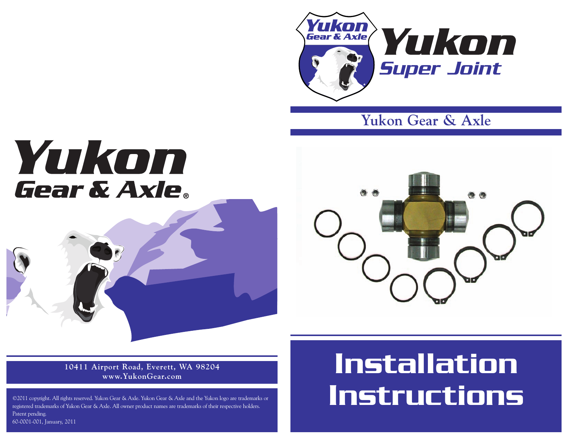

**Yukon Gear & Axle**

## Yukon **Gear & Axle**.



**10411 Airport Road, Everett, WA 98204 www.YukonGear.com**

©2011 copyright. All rights reserved. Yukon Gear & Axle. Yukon Gear & Axle and the Yukon logo are trademarks or registered trademarks of Yukon Gear & Axle. All owner product names are trademarks of their respective holders. Patent pending. 60-0001-001, January, 2011

## **Installation Instructions**